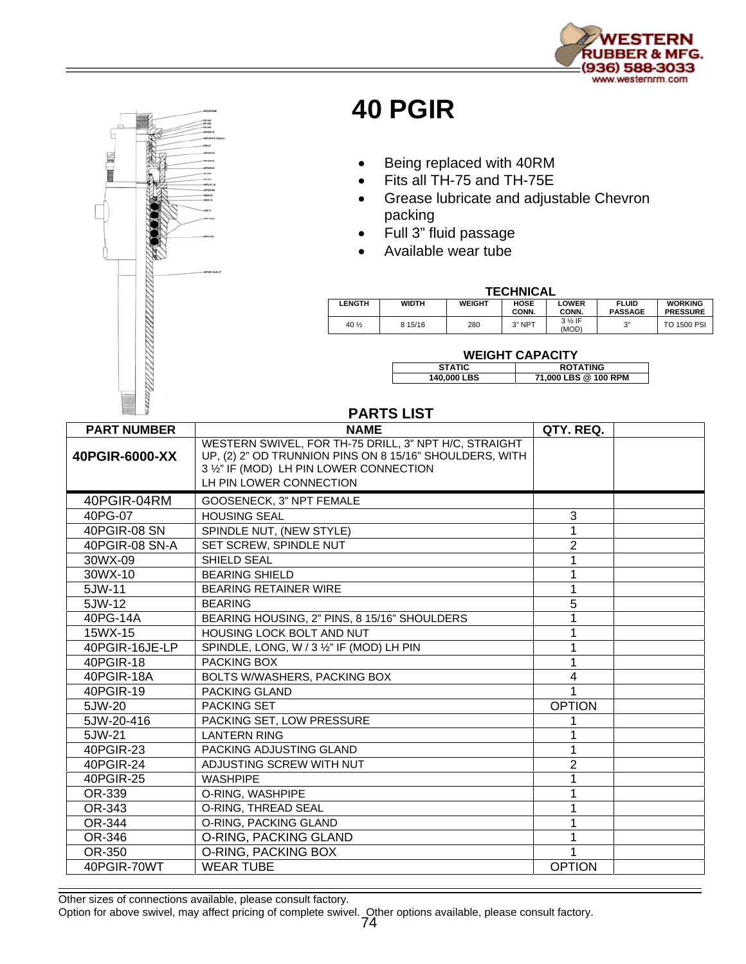



## **40 PGIR**

- Being replaced with 40RM
- Fits all TH-75 and TH-75E
- Grease lubricate and adjustable Chevron packing
- Full 3" fluid passage
- Available wear tube

## **TECHNICAL**

| -------------- |              |               |                      |                            |                                |                                   |  |
|----------------|--------------|---------------|----------------------|----------------------------|--------------------------------|-----------------------------------|--|
| <b>LENGTH</b>  | <b>WIDTH</b> | <b>WEIGHT</b> | <b>HOSE</b><br>CONN. | <b>LOWER</b><br>CONN.      | <b>FLUID</b><br><b>PASSAGE</b> | <b>WORKING</b><br><b>PRESSURE</b> |  |
| 40 1/2         | 8 15/16      | 280           | $3"$ NPT             | $3\frac{1}{2}$ IF<br>(MOD) | 2"                             | <b>TO 1500 PSI</b>                |  |

## **WEIGHT CAPACITY**

| <b>STATIC</b> | <b>ROTATING</b>      |
|---------------|----------------------|
| 140,000 LBS   | 71,000 LBS @ 100 RPM |

## **PARTS LIST**

| <b>PART NUMBER</b> | <b>NAME</b>                                                                                                                                                                            | QTY. REQ.     |
|--------------------|----------------------------------------------------------------------------------------------------------------------------------------------------------------------------------------|---------------|
| 40PGIR-6000-XX     | WESTERN SWIVEL, FOR TH-75 DRILL, 3" NPT H/C, STRAIGHT<br>UP, (2) 2" OD TRUNNION PINS ON 8 15/16" SHOULDERS, WITH<br>3 1/2" IF (MOD) LH PIN LOWER CONNECTION<br>LH PIN LOWER CONNECTION |               |
| 40PGIR-04RM        | GOOSENECK, 3" NPT FEMALE                                                                                                                                                               |               |
| 40PG-07            | <b>HOUSING SEAL</b>                                                                                                                                                                    | 3             |
| 40PGIR-08 SN       | SPINDLE NUT, (NEW STYLE)                                                                                                                                                               |               |
| 40PGIR-08 SN-A     | SET SCREW, SPINDLE NUT                                                                                                                                                                 | 2             |
| 30WX-09            | SHIELD SEAL                                                                                                                                                                            |               |
| 30WX-10            | <b>BEARING SHIELD</b>                                                                                                                                                                  |               |
| 5JW-11             | <b>BEARING RETAINER WIRE</b>                                                                                                                                                           |               |
| $5$ JW-12          | <b>BEARING</b>                                                                                                                                                                         | 5             |
| 40PG-14A           | BEARING HOUSING, 2" PINS, 8 15/16" SHOULDERS                                                                                                                                           |               |
| 15WX-15            | HOUSING LOCK BOLT AND NUT                                                                                                                                                              |               |
| 40PGIR-16JE-LP     | SPINDLE, LONG, W / 3 1/2" IF (MOD) LH PIN                                                                                                                                              |               |
| 40PGIR-18          | PACKING BOX                                                                                                                                                                            |               |
| 40PGIR-18A         | BOLTS W/WASHERS, PACKING BOX                                                                                                                                                           | 4             |
| 40PGIR-19          | <b>PACKING GLAND</b>                                                                                                                                                                   |               |
| 5JW-20             | <b>PACKING SET</b>                                                                                                                                                                     | <b>OPTION</b> |
| 5JW-20-416         | PACKING SET, LOW PRESSURE                                                                                                                                                              |               |
| 5JW-21             | <b>LANTERN RING</b>                                                                                                                                                                    |               |
| 40PGIR-23          | PACKING ADJUSTING GLAND                                                                                                                                                                | 1             |
| 40PGIR-24          | ADJUSTING SCREW WITH NUT                                                                                                                                                               | 2             |
| 40PGIR-25          | <b>WASHPIPE</b>                                                                                                                                                                        |               |
| OR-339             | O-RING, WASHPIPE                                                                                                                                                                       |               |
| OR-343             | O-RING, THREAD SEAL                                                                                                                                                                    |               |
| OR-344             | O-RING, PACKING GLAND                                                                                                                                                                  |               |
| OR-346             | O-RING, PACKING GLAND                                                                                                                                                                  |               |
| OR-350             | O-RING, PACKING BOX                                                                                                                                                                    |               |
| 40PGIR-70WT        | <b>WEAR TUBE</b>                                                                                                                                                                       | <b>OPTION</b> |

Other sizes of connections available, please consult factory.

Option for above swivel, may affect pricing of complete swivel. Other options available, please consult factory. 74